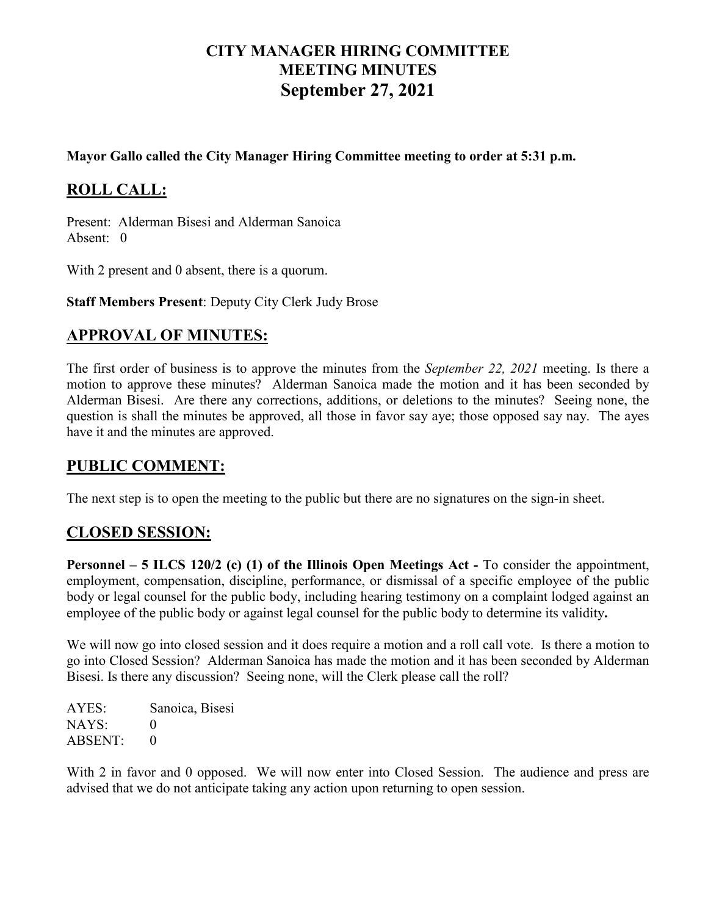# **CITY MANAGER HIRING COMMITTEE MEETING MINUTES September 27, 2021**

#### **Mayor Gallo called the City Manager Hiring Committee meeting to order at 5:31 p.m.**

# **ROLL CALL:**

Present: Alderman Bisesi and Alderman Sanoica Absent: 0

With 2 present and 0 absent, there is a quorum.

**Staff Members Present**: Deputy City Clerk Judy Brose

## **APPROVAL OF MINUTES:**

The first order of business is to approve the minutes from the *September 22, 2021* meeting. Is there a motion to approve these minutes? Alderman Sanoica made the motion and it has been seconded by Alderman Bisesi. Are there any corrections, additions, or deletions to the minutes? Seeing none, the question is shall the minutes be approved, all those in favor say aye; those opposed say nay. The ayes have it and the minutes are approved.

## **PUBLIC COMMENT:**

The next step is to open the meeting to the public but there are no signatures on the sign-in sheet.

## **CLOSED SESSION:**

**Personnel – 5 ILCS 120/2 (c) (1) of the Illinois Open Meetings Act -** To consider the appointment, employment, compensation, discipline, performance, or dismissal of a specific employee of the public body or legal counsel for the public body, including hearing testimony on a complaint lodged against an employee of the public body or against legal counsel for the public body to determine its validity**.**

We will now go into closed session and it does require a motion and a roll call vote. Is there a motion to go into Closed Session? Alderman Sanoica has made the motion and it has been seconded by Alderman Bisesi. Is there any discussion? Seeing none, will the Clerk please call the roll?

AYES: Sanoica, Bisesi  $NAYS: 0$ ABSENT: 0

With 2 in favor and 0 opposed. We will now enter into Closed Session. The audience and press are advised that we do not anticipate taking any action upon returning to open session.